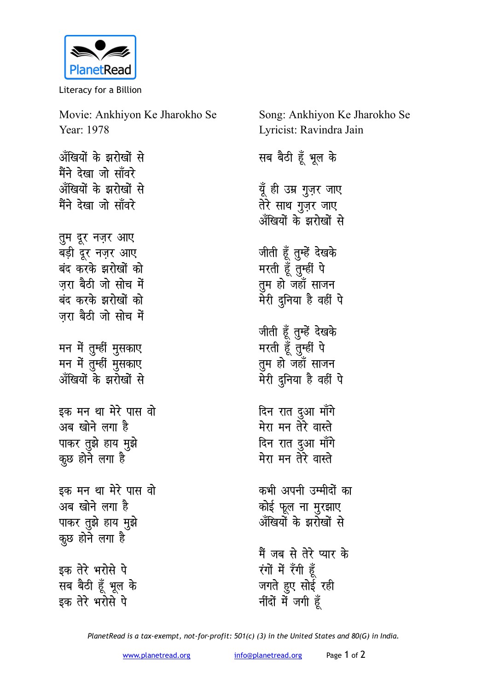

Literacy for a Billion

Movie: Ankhiyon Ke Jharokho Se Year: 1978 अँखियों के झरोखों से मैंने देखा जो साँवरे अँखियों के झरोखों से मैंने देखा जो साँवरे तूम दूर नज़र आए बडी दुर नजर आए बंद करके झरोखों को जरा बैठी जो सोच में बंद करके झरोखों को जरा बैठी जो सोच में मन में तुम्हीं मुसकाए मन में तुम्हीं मुसकाए अँखियों के झरोखों से इक मन था मेरे पास वो अब खोने लगा है पाकर तुझे हाय मुझे कुछ होने लगा है इक मन था मेरे पास वो अब खोने लगा है पाकर तुझे हाय मुझे कुछ होने लगा है इक तेरे भरोसे पे सब बैठी हूँ भूल के इक तेरे भरोसे पे

Song: Ankhiyon Ke Jharokho Se Lyricist: Ravindra Jain

सब बैठी हूँ भूल के

यूँ ही उम्र गुज़र जाए तेरे साथ गुज़र जाए अँखियों के झरोखों से जीती हूँ तुम्हें देखके मरती हूँ तुम्हीं पे तुम हो जहाँ साजन मेरी दुनिया है वहीं पे जीती हूँ तुम्हें देखके मरती हूँ तुम्हीं पे तुम हो जहाँ साजन मेरी दुनिया है वहीं पे दिन रात दुआ माँगे मेरा मन तेरे वास्ते

दिन रात दुआ माँगे मेरा मन तेरे वास्ते

कभी अपनी उम्मीदों का कोई फूल ना मुरझाए अँखियों के झरोखों से

मैं जब से तेरे प्यार के रंगों में रँगी हैं जगते हुए सोई रही नींदों में जगी हँ

PlanetRead is a tax-exempt, not-for-profit: 501(c) (3) in the United States and 80(G) in India.